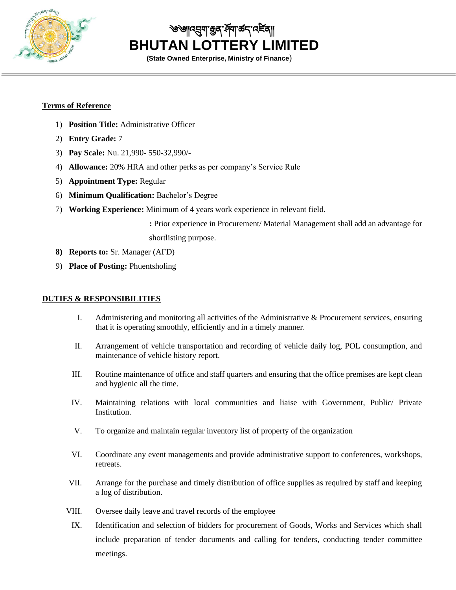

<u>��॥নহ্মমা ক্</u>রব`র্নমা ক্র  **BHUTAN LOTTERY LIMITED**

**(State Owned Enterprise, Ministry of Finance**)

## **Terms of Reference**

- 1) **Position Title:** Administrative Officer
- 2) **Entry Grade:** 7
- 3) **Pay Scale:** Nu. 21,990- 550-32,990/-
- 4) **Allowance:** 20% HRA and other perks as per company's Service Rule
- 5) **Appointment Type:** Regular
- 6) **Minimum Qualification:** Bachelor's Degree
- 7) **Working Experience:** Minimum of 4 years work experience in relevant field.

**:** Prior experience in Procurement/ Material Management shall add an advantage for shortlisting purpose.

- **8) Reports to:** Sr. Manager (AFD)
- 9) **Place of Posting:** Phuentsholing

## **DUTIES & RESPONSIBILITIES**

- I. Administering and monitoring all activities of the Administrative & Procurement services, ensuring that it is operating smoothly, efficiently and in a timely manner.
- II. Arrangement of vehicle transportation and recording of vehicle daily log, POL consumption, and maintenance of vehicle history report.
- III. Routine maintenance of office and staff quarters and ensuring that the office premises are kept clean and hygienic all the time.
- IV. Maintaining relations with local communities and liaise with Government, Public/ Private **Institution**
- V. To organize and maintain regular inventory list of property of the organization
- VI. Coordinate any event managements and provide administrative support to conferences, workshops, retreats.
- VII. Arrange for the purchase and timely distribution of office supplies as required by staff and keeping a log of distribution.
- VIII. Oversee daily leave and travel records of the employee
	- IX. Identification and selection of bidders for procurement of Goods, Works and Services which shall include preparation of tender documents and calling for tenders, conducting tender committee meetings.